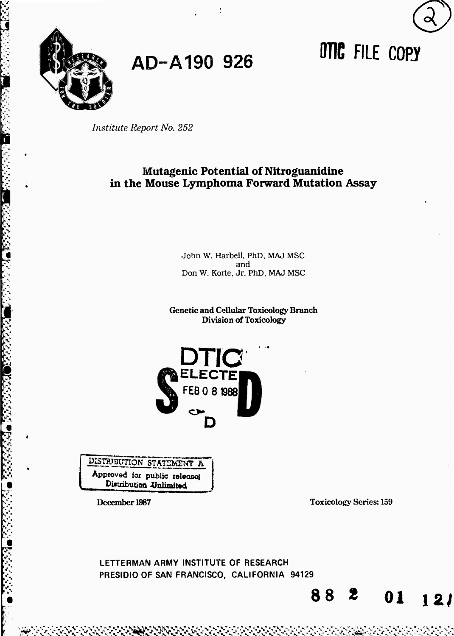

**AD-A190 <sup>926</sup>** *m* **FILE copy**



# **Mutagenic Potential of Nitroguanidine in the Mouse Lymphoma Forward Mutation Assay**

John W. Harbell. PhD, MAJ MSC and Don W. Korte, Jr, PhD. MAJ MSC

Genetic and Cellular Toxicology Branch Division of Toxicology



DISTRIBUTION STATEMENT  $h$ Approved for public release Distribution Unlimited

*y-*

December 1987 Toxicology Series: 159

**88 <sup>2</sup> <sup>01</sup>** *izi*

**.-^K'-.' %'-. >>'-'>.**

**LETTERMAN ARMY INSTITUTE OF RESEARCH PRESIDIO OF SAN FRANCISCO. CALIFORNIA 94129**

**•v •- •- h." «.' '- ' rw"**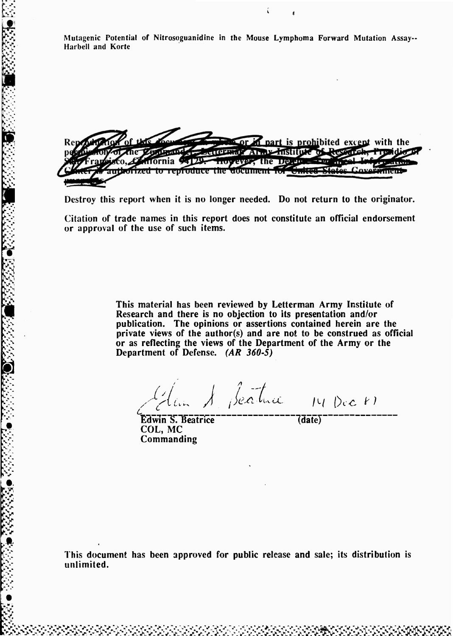**Mutagenic Potential of Nitrosoguanidine in the Mouse Lymphoma Forward Mutation Assay-Harbell and Korte**

**w** or *n* part is prohibited except with the THEFT AND HISTULE OF REVENCE nornia 94129. noyever, the Deeme Here Violee Gove zed to reproduce the document to antares

**Destroy this report when it is no longer needed. Do not return to the originator.**

**Citation of trade names in this report does not constitute an official endorsement or approval of the use of such items.**

> **This material has been reviewed by Letterman Army Institute of Research and there is no objection to its presentation and/or publication. The opinions or assertions contained herein are the private views of the author(s) and are not to be construed as official or as reflecting the views of the Department of the Army or the Department of Defense.** *(AR 360-5)*

*hi <sup>1</sup>* **-/**  $\mu$ *C*

**Edwin S. Beatrice** (date) **COL, MC Commanding**

**>:•>. .>.»•->**

**This document has been approved for public release and sale; its distribution is unlimited.**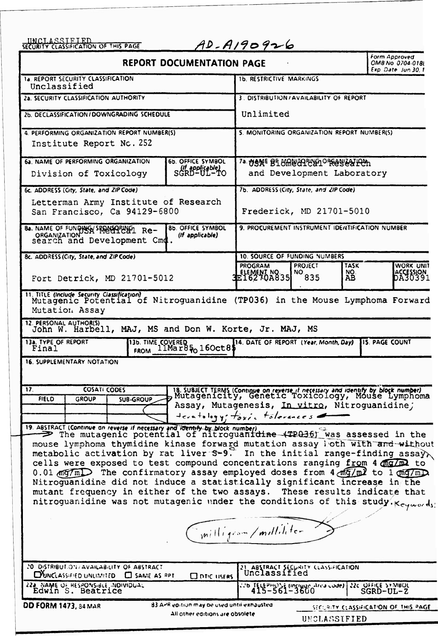| <i><b>INCLASSIFIED</b></i><br>SECURITY CLASSIFICATION OF THIS PAGE                                                                                                                                                                                                                                                                                                                                                                                                                                                                                                                                                                                                                                                  |                                                                                                                                                                                                                        | $AD - A190926$                                  |                                                       |                   | Form Approved                        |  |
|---------------------------------------------------------------------------------------------------------------------------------------------------------------------------------------------------------------------------------------------------------------------------------------------------------------------------------------------------------------------------------------------------------------------------------------------------------------------------------------------------------------------------------------------------------------------------------------------------------------------------------------------------------------------------------------------------------------------|------------------------------------------------------------------------------------------------------------------------------------------------------------------------------------------------------------------------|-------------------------------------------------|-------------------------------------------------------|-------------------|--------------------------------------|--|
|                                                                                                                                                                                                                                                                                                                                                                                                                                                                                                                                                                                                                                                                                                                     | <b>REPORT DOCUMENTATION PAGE</b>                                                                                                                                                                                       | OMB No. 0704-018L<br>Exp. Date: Jun 30, 1       |                                                       |                   |                                      |  |
| <b>14. REPORT SECURITY CLASSIFICATION</b><br>Unclassified                                                                                                                                                                                                                                                                                                                                                                                                                                                                                                                                                                                                                                                           |                                                                                                                                                                                                                        | <b>1b. RESTRICTIVE MARKINGS</b>                 |                                                       |                   |                                      |  |
| 2a. SECURITY CLASSIFICATION AUTHORITY                                                                                                                                                                                                                                                                                                                                                                                                                                                                                                                                                                                                                                                                               |                                                                                                                                                                                                                        | 3. DISTRIBUTION/AVAILABILITY OF REPORT          |                                                       |                   |                                      |  |
| 2b. DECLASSIFICATION / DOWNGRADING SCHEDULE                                                                                                                                                                                                                                                                                                                                                                                                                                                                                                                                                                                                                                                                         |                                                                                                                                                                                                                        | Unlimited                                       |                                                       |                   |                                      |  |
| 4. PERFORMING ORGANIZATION REPORT NUMBER(S)<br>Institute Report Nc. 252                                                                                                                                                                                                                                                                                                                                                                                                                                                                                                                                                                                                                                             |                                                                                                                                                                                                                        | 5. MONITORING ORGANIZATION REPORT NUMBER(S)     |                                                       |                   |                                      |  |
| 6a. NAME OF PERFORMING ORGANIZATION<br>Division of Toxicology                                                                                                                                                                                                                                                                                                                                                                                                                                                                                                                                                                                                                                                       | 6b. OFFICE SYMBOL<br>SGRD-UL-TO                                                                                                                                                                                        | 7a. NGKE BLUMUNGPUNGPPRANGAHOL                  | and Development Laboratory                            |                   |                                      |  |
| 6c. ADDRESS (City, State, and ZIP Code)                                                                                                                                                                                                                                                                                                                                                                                                                                                                                                                                                                                                                                                                             |                                                                                                                                                                                                                        | 7b. ADDRESS (City, State, and ZIP Code)         |                                                       |                   |                                      |  |
| Letterman Army Institute of Research<br>San Francisco, Ca 94129-6800                                                                                                                                                                                                                                                                                                                                                                                                                                                                                                                                                                                                                                                |                                                                                                                                                                                                                        |                                                 | Frederick, MD 21701-5010                              |                   |                                      |  |
| 8a. NAME OF FUNDING SPRAGUELLY Re-<br>organization bar medical Re-<br>search and Development Cmd.                                                                                                                                                                                                                                                                                                                                                                                                                                                                                                                                                                                                                   | <b>8b. OFFICE SYMBOL</b><br>(If applicable)                                                                                                                                                                            | 9. PROCUREMENT INSTRUMENT IDENTIFICATION NUMBER |                                                       |                   |                                      |  |
| 8c. ADDRESS (City, State, and ZIP Code)                                                                                                                                                                                                                                                                                                                                                                                                                                                                                                                                                                                                                                                                             |                                                                                                                                                                                                                        | 10. SOURCE OF FUNDING NUMBERS                   |                                                       |                   |                                      |  |
| Fort Detrick, MD 21701-5012                                                                                                                                                                                                                                                                                                                                                                                                                                                                                                                                                                                                                                                                                         |                                                                                                                                                                                                                        | <b>PROGRAM</b><br>ELEMENT NO. 35                | <b>PROJECT</b><br>NO 835                              | TASK<br>NO.<br>AB | <b>WORK UNIT</b><br>ACCESSION        |  |
| Mutagenic Potential of Nitroguanidine (TP036) in the Mouse Lymphoma Forward<br>Mutation Assay<br>12. PERSONAL AUTHOR(S)<br>John W. Harbell, MAJ, MS and Don W. Korte, Jr. MAJ, MS<br>13a. TYPE OF REPORT<br>Final<br>16. SUPPLEMENTARY NOTATION                                                                                                                                                                                                                                                                                                                                                                                                                                                                     | <b>136. TIME COVERED</b><br>FROM 11Mar85 <sub>0</sub> 160ct85                                                                                                                                                          | 14. DATE OF REPORT (Year, Month, Day)           |                                                       |                   | <b>15. PAGE COUNT</b>                |  |
| 17.<br><b>COSATI CODES</b><br><b>FIELD</b><br><b>GROUP</b><br><b>SUB-GROUP</b>                                                                                                                                                                                                                                                                                                                                                                                                                                                                                                                                                                                                                                      | 18. SUBJECT TERMS (Continue on reverse if necessary and identify by block number)<br>Mutagenicity, Genetic Toxicology, Mouse Lymphoma<br>Assay, Mutagenesis, In vitro, Nitroguanidine;<br>terntology; taxic tolerances |                                                 |                                                       |                   |                                      |  |
| 19. ABSTRACT (Continue on reverse if necessary and reentify by block number)<br>The mutagenic potential of nitroguanidine (TP036) was assessed in the<br>mouse lymphoma thymidine kinase forward mutation assay loth with and without metabolic activation by rat liver S-9. In the initial range-finding assay<br>cells were exposed to test compound concentrations ranging from 4 man to<br>0.01 mg/ml The confirmatory assay employed doses from 4 mg/ml to 1 mg/ml<br>Nitroguanidine did not induce a statistically significant increase in the<br>mutant frequency in either of the two assays. These results indicate that<br>nitroguanidine was not mutagenic under the conditions of this study. Keywords: |                                                                                                                                                                                                                        |                                                 |                                                       |                   |                                      |  |
|                                                                                                                                                                                                                                                                                                                                                                                                                                                                                                                                                                                                                                                                                                                     |                                                                                                                                                                                                                        | milligean/milliliter                            |                                                       |                   |                                      |  |
| 20 DISTRIBUT.ON/AVAILABILITY OF ABSTRACT<br>DUNCLASSIFIED UNLIMITED C SAME AS RPT                                                                                                                                                                                                                                                                                                                                                                                                                                                                                                                                                                                                                                   | <b>CONTIC LISERS</b>                                                                                                                                                                                                   | 21 ABSTRACT SECURITY CLASSIFICATION             |                                                       |                   |                                      |  |
| 222 NAME OF RESPONSIBLE INDIVIDUAL Edwin S. Beatrice                                                                                                                                                                                                                                                                                                                                                                                                                                                                                                                                                                                                                                                                |                                                                                                                                                                                                                        |                                                 | 22c OFFICE SYMBOL MOVIES AND LOVE ) 22c OFFICE SYMBOL |                   |                                      |  |
| DD FORM 1473, 34 MAR                                                                                                                                                                                                                                                                                                                                                                                                                                                                                                                                                                                                                                                                                                | 83 APR epition may be used until exhausted<br>All other editions are obsolete                                                                                                                                          |                                                 | UNCLASSIFIED                                          |                   | SECURITY CLASSIFICATION OF THIS PAGE |  |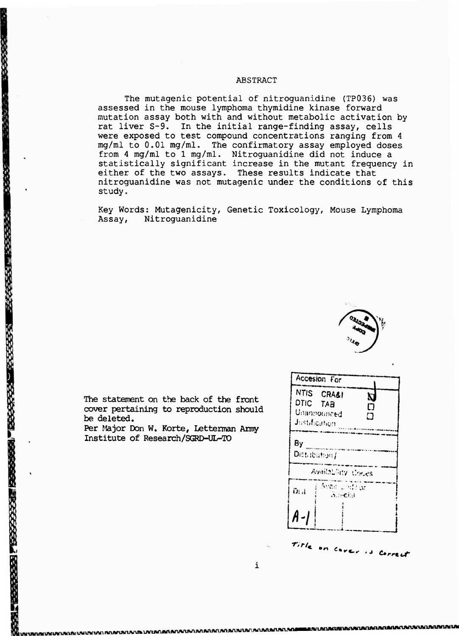#### ABSTRACT

The mutagenic potential of nitroguanidine (TP036) was assessed in the mouse lymphoma thymidine kinase forward mutation assay both with and without metabolic activation by rat liver S-9. In the initial range-finding assay, cells were exposed to test compound concentrations ranging from <sup>4</sup> mg/ml to 0.01 mg/ml. The confirmatory assay employed doses from 4 mg/ml to 1 mg/ml. Nitroguanidine did not induce a statistically significant increase in the mutant frequency in either of the two assays. These results indicate that nitroguanidine was not mutagenic under the conditions of this study.

Key Words: Mutagenicity, Genetic Toxicology, Mouse Lymphoma Assay, Nitroguanidine



The statement on the back of the front cover pertaining to reproduction should be deleted.

Per Major Don W. Korte, Letteman Army Institute of Research/SGRD-UL-TO

| Accesion For                                                  |                                 |              |  |
|---------------------------------------------------------------|---------------------------------|--------------|--|
| NTIS CRA&I<br>DTIC TAB<br>Unannounced<br><b>Justification</b> |                                 | Ŋ<br>n<br>רז |  |
| By<br>Distribution /                                          |                                 |              |  |
|                                                               | Availability Codes              |              |  |
| D: A                                                          | Avair and For<br><b>Suecial</b> |              |  |
|                                                               |                                 |              |  |
|                                                               |                                 |              |  |

rvr/. **\* •«** *Cm, J torrtut*

 $\mathbf i$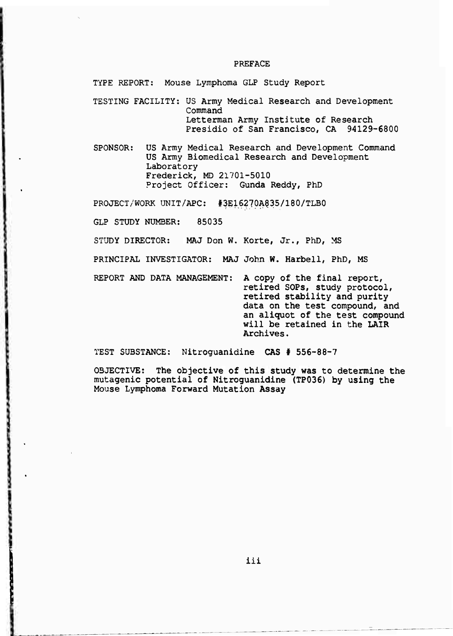#### PREFACE

TYPE REPORT: Mouse Lymphoma GLP Study Report

TESTING FACILITY: US Army Medical Research and Development Command Letterman Army Institute of Research Presidio of San Francisco, CA 94129-6800

SPONSOR: US Army Medical Research and Development Command US Army Biomedical Research and Development Laboratory Frederick, MD 21701-5010 Project Officer: Gunda Reddy, PhD

PROJECT/WORK UNIT/APC: #3E16270A835/180/TLB0

GLP STUDY NUMBER: 85035

STUDY DIRECTOR: MAJ Don W. Korte, Jr., PhD, MS

PRINCIPAL INVESTIGATOR: MAJ John W. Harbell, PhD, MS

REPORT AND DATA MANAGEMENT: A copy of the final report, retired SOPs, study protocol, retired stability and purity data on the test compound, and an aliquot of the test compound will be retained in the LAIR Archives.

TEST SUBSTANCE: Nitroguanidine CAS # 556-88-7

OBJECTIVE: The objective of this study was to determine the mutagenic potential of Nitroguanidine (TP036) by using the Mouse Lymphoma Forward Mutation Assay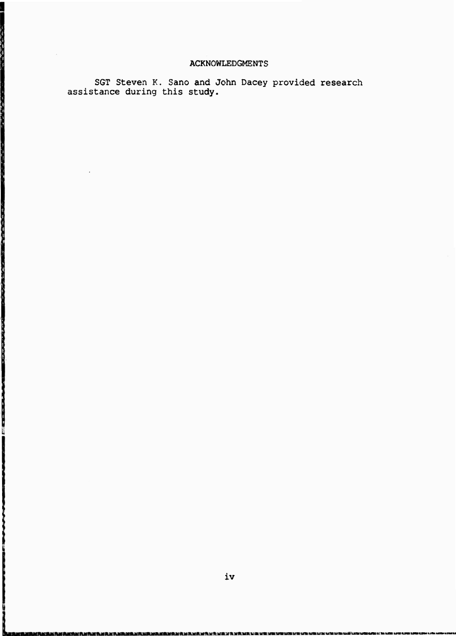## ACKNOWLEDGMENTS

SGT Steven K. Sano and John Dacey provided research assistance during this study.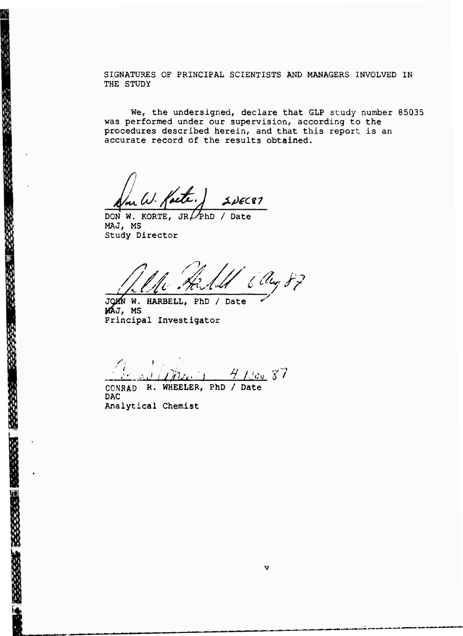SIGNATURES OF PRINCIPAL SCIENTISTS AND MANAGERS INVOLVED IN THE STUDY

We, the undersigned, declare that GLP study number 85035 was performed under our supervision, according to the procedures described herein, and that this report is an accurate record of the results obtained.

ute  $2DECR1$ 

DON W. KORTE, JR $\nu$ PhD / Date MAJ, MS Study Director

医皮质皮质 医多发性发育 计数据数据

*Ä .^4 <sup>6</sup> SL, fp* **/**

**JOHN W. HARBELL,** PhD / Date **MAJ, MS** Principal Investigator

**/';** .' *UJLUJL-4 <sup>H</sup> / c -fi*

CONRAD **R. WHEELER, PhD** / **Date** DAC Analytical Chemist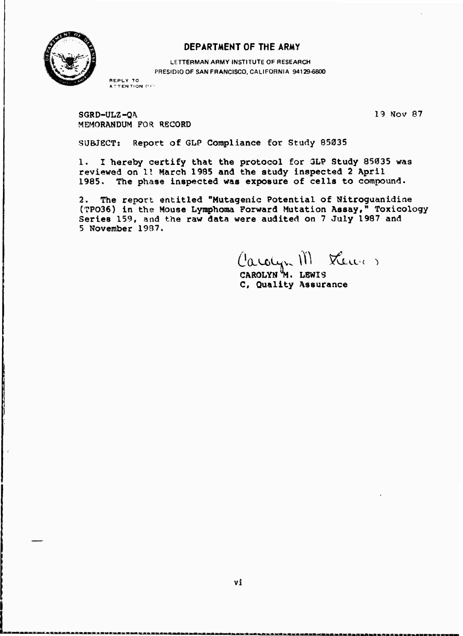

## **DEPARTMENT OF THE ARMY**

**LETTERMAN ARMY INSTITUTE** OF **RESEARCH** PRESIDIO **OF SAN FRANCISCO,** CALIFORNIA **94129-6800**

**REPLY TO A-TENTIQN <sup>O</sup> f**

**SGRD-ULZ-QA 15 Mov 87 MEMORANDUM FOR RECORD**

**SUBJECT: Report of GLP Compliance for Study 85035**

**1. I hereby certify that the protocol for 3LP Study 85035 was reviewed on 11 March 1985 and the study inspected 2 April 1985. The phase inspected was exposure of cells to compound.**

**2. The report entitled "Mutagenic Potential of Nitroguanidine {TP036) in the Mouse Lymphoraa Forward Mutation Assay," Toxicology Series 159, and the raw data were audited on 7 July 1987 and 5 November 1987.**

Lewer) Carolyn III

**CAROLYN 7!. LEWIS C, Quality Assurance**

**^\*-\*—-\* '\*•«-» W**

**<sup>1</sup> <sup>11</sup> M-ft-Mft-T-"»^—»—»" »——-T^—»--\* — ^-'^ M-"**

**\* 1'M**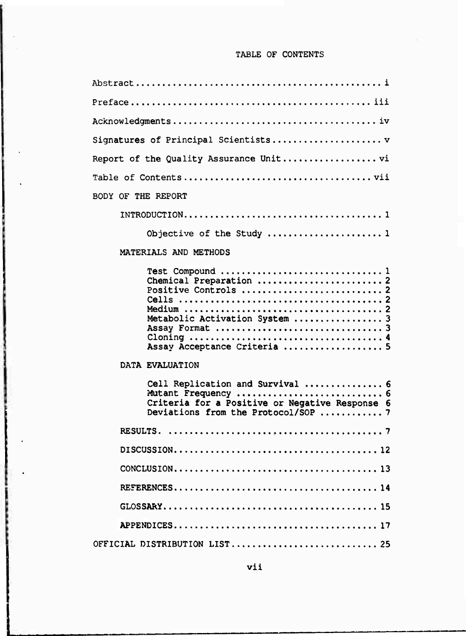# TABLE OF CONTENTS

ŕ.

| Signatures of Principal Scientists                                                                                        |  |  |  |  |  |  |  |  |  |  |
|---------------------------------------------------------------------------------------------------------------------------|--|--|--|--|--|--|--|--|--|--|
|                                                                                                                           |  |  |  |  |  |  |  |  |  |  |
|                                                                                                                           |  |  |  |  |  |  |  |  |  |  |
| BODY OF THE REPORT                                                                                                        |  |  |  |  |  |  |  |  |  |  |
|                                                                                                                           |  |  |  |  |  |  |  |  |  |  |
| Objective of the Study  1                                                                                                 |  |  |  |  |  |  |  |  |  |  |
| MATERIALS AND METHODS                                                                                                     |  |  |  |  |  |  |  |  |  |  |
| Chemical Preparation  2<br>Metabolic Activation System  3<br>Assay Acceptance Criteria  5                                 |  |  |  |  |  |  |  |  |  |  |
| DATA EVALUATION                                                                                                           |  |  |  |  |  |  |  |  |  |  |
| Cell Replication and Survival  6<br>Criteria for a Positive or Negative Response 6<br>Deviations from the Protocol/SOP  7 |  |  |  |  |  |  |  |  |  |  |
|                                                                                                                           |  |  |  |  |  |  |  |  |  |  |
|                                                                                                                           |  |  |  |  |  |  |  |  |  |  |
|                                                                                                                           |  |  |  |  |  |  |  |  |  |  |
|                                                                                                                           |  |  |  |  |  |  |  |  |  |  |
|                                                                                                                           |  |  |  |  |  |  |  |  |  |  |
|                                                                                                                           |  |  |  |  |  |  |  |  |  |  |
| OFFICIAL DISTRIBUTION LIST 25                                                                                             |  |  |  |  |  |  |  |  |  |  |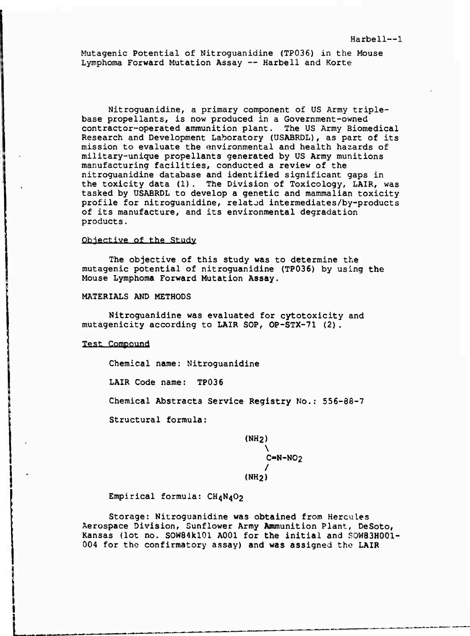Mutagenic Potential of Nitroguanidine (TP036) in the Mouse Lymphoma Forward Mutation Assay — Harbell and Korte

Nitroguanidine, a primary component of US Army triplebase propellants, is now produced in a Government-owned contractor-operated ammunition plant. The US Army Biomedical Research and Development Laboratory (USABRDL), as part of its mission to evaluate the environmental and health hazards of military-unique propellants generated by US Army munitions manufacturing facilities, conducted a review of the nitroguanidine database and identified significant gaps in the toxicity data (1). The Division of Toxicology, LAIR, was tasked by USABRDL to develop a genetic and mammalian toxicity profile for nitroguanidine, related intermediates/by-products of its manufacture, and its environmental degradation products.

#### **Objective of the Study**

The objective of this study was to determine the mutagenic potential of nitroguanidine (TP036) by using the Mouse Lymphoma Forward Mutation Assay.

MATERIALS AND METHODS

Nitroguanidine was evaluated for cytotoxicity and mutagenicity according to LAIR SOP, OP-STX-71 (2).

**Test Compound**

Chemical name: Nitroguanidine

LAIR Code name: TP036

Chemical Abstracts Service Registry No.: 556-88-7

Structural formula:

(NH2) \  $C=N-NO<sub>2</sub>$ / (NH2)

Empirical formula: CH4N4O2

Storage: Nitroguanidine was obtained from Hercules Aerospace Division, Sunflower Army Anununition Plant, DeSoto, Kansas (lot no. SOW84kl01 A001 for the initial and SOW83H001- 004 for the confirmatory assay) and was assigned the LAIR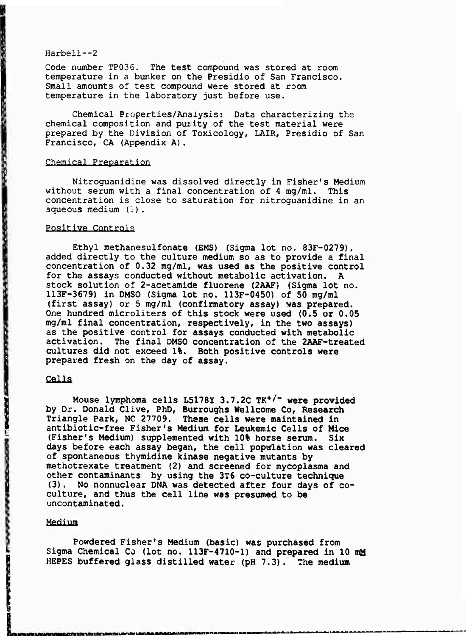Code number TP036. The test compound was stored at room temperature in a bunker on the Presidio of San Francisco. Small amounts of test compound were stored at room temperature in the laboratory just before use.

Chemical Properties/Analysis: Data characterizing the chemical composition and purity of the test material were prepared by the Division of Toxicology, LAIR, Presidio of San Francisco, CA (Appendix A).

#### Chemical Preparation

Nitroguanidine was dissolved directly in Fisher's Medium without serum with a final concentration of <sup>4</sup> mg/ml. This concentration is close to saturation for nitroguanidine in an aqueous medium (1).

## Positive Controls

Ethyl methanesulfonate (EMS) (Sigma lot no. 83F-0279), added directly to the culture medium so as to provide a final concentration of 0.32 mg/ml, **was used as the positive control for the assays conducted without metabolic activation. A** stock solution of **2-acetamide fluorene (2AAF)** (Sigma lot no. 113F-3679) in DMSO (Sigma lot no. 113F-0450) of 50 mg/ml (first **assay) or 5 mg/ml (confirmatory assay) was prepared. One hundred microliters of this stock were used (0.5 or 0.05** mg/ml **final** concentration, **respectively, in the two assays) as the positive control for assays conducted with metabolic** activation. The final DMSO **concentration of the 2AAF-treated cultures did not exceed 1%. Both positive controls were prepared fresh on** the **day of assay.**

## **Cells**

,我们的学习,我们的学习,我们的学习,我们的学习,我们的学习,我们的学习,我们的学习,我们的学习,我们的学习,我们的学习,我们的学习,我们的学习,我们的学习,我们的学习,我们的学习,我们的学习,我们

**Mouse lymphoma cells L5178Y 3.7.2C TK<sup>+</sup> /" were provided by Dr. Donald Clive, PhD, Burroughs Wellcome Co, Research Triangle Park, NC 27709. These cells were maintained In antibiotic-free Fisher's Medium for Leukemic Cells of Mice (Fisher's Medium) supplemented with 10% horse serum. Six days before each assay began, the cell population was cleared of spontaneous thymidine kinase negative mutants by methotrexate treatment (2) and screened for mycoplasma and other contaminants** by **using the 3T6 co-culture technique (3) . No nonnuclear DNA was detected after four days of co**culture, **and** thus **the cell line was presumed to be uncontaminated.**

#### **Medium**

**Powdered Fisher's Medium (basic) was purchased from Sigma Chemical Co (lot no. 113F-4710-1) and prepared in 10 mM HEPES buffered glass distilled water (pH 7.3). The medium**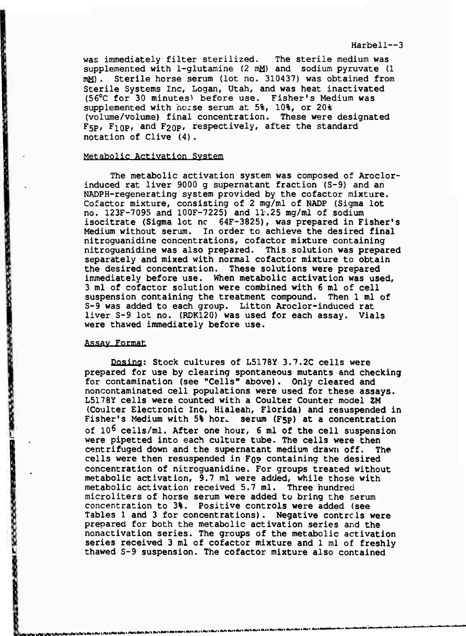was immediately filter sterilized. The sterile medium was supplemented with 1-glutamine (2 mM) and sodium pyruvate (1 mM) . Sterile horse serum (lot no. 310437) was obtained from Sterile Systems Inc, Logan, Utah, and was heat inactivated (56°C for 30 minutes) before use. Fisher's Medium was supplemented with horse serum at 5%, 10%, or 20% (volume/volume) final concentration. These were designated  $F_{5p}$ ,  $F_{10p}$ , and  $F_{20p}$ , respectively, after the standard notation of Clive (4).

#### Metabolie Activation System

The metabolic activation system was composed of Aroclorinduced rat liver 9000 g supernatant fraction (S-9) and an NADPH-regenerating system provided by the cofactor mixture. Cofactor mixture, consisting of 2 mg/ml of NADP (Sigma lot no. 123F-7095 and 100F-7225) and 11.25 mg/ml of sodium isocitrate (Sigma lot nc 64F-3825), was prepared in Fisher's Medium without serum. In order to achieve the desired final nitroguanidine concentrations, cofactor mixture containing nitroguanidine was also prepared. This solution was prepared separately and mixed with normal cofactor mixture to obtain the desired concentration. These solutions were prepared immediately before use. When metabolic activation was used, 3 ml of cofactor solution were combined with 6 ml of cell suspension containing the treatment compound. Then <sup>1</sup> ml of S-9 was added to each group. Litton Aroclor-induced rat liver S-9 lot no. (RDK120) was used for each assay. Vials were thawed immediately before use.

#### Assay Format

- 「「「「「「「「「」」」という意味がで

医电影传导者 受贿赂强迫再发展

● 安全 ● 安全 ● 图

**BALL KAN COOP** 

Dosing: Stock cultures of L5178y 3.7.2C cells were prepared for use by clearing spontaneous mutants and checking for contamination (see "Cells" above). Only cleared and noncontaminated cell populations were used for these assays. L5178Y cells were counted with a Coulter Counter model 2M (Coulter Electronic Inc, Hialeah, Florida) and resuspended in Fisher's Medium with 5% hor. serum (F5p) at a concentration of <sup>10</sup><sup>6</sup> cells/ml. After one hour, 6 ml of the cell suspension were pipetted into each culture tube. The cells were then centrifuged down and the supernatant medium drawn off. The cells were then resuspended in FQP containing the desired concentration of nitroguanidine. For groups treated without metabolic activation, 9.7 ml were added, while those with metabolic activation received 5.7 ml. Three hundred microliters of horse serum were added to bring the serum concentration to 3%. Positive controls were added (see Tables 1 and 3 for concentrations). Negative controls were prepared for both the metabolic activation series and the nonactivation series. The groups of the metabolic activation series received 3 ml of cofactor mixture and <sup>1</sup> ml of freshly thawed S-9 suspension. The cofactor mixture also contained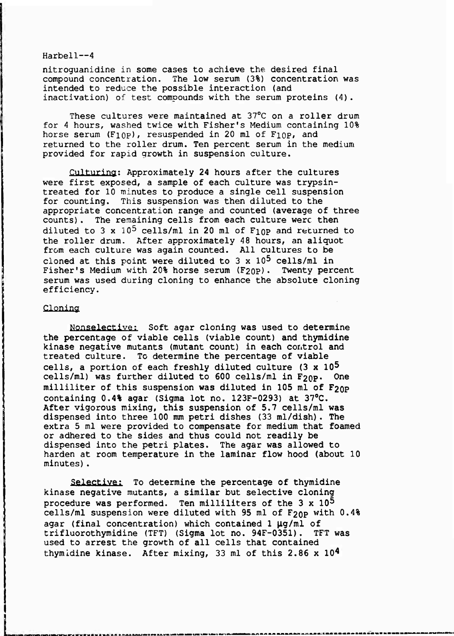nitroguanidine in some cases to achieve the desired final compound concentration. The low serum (3%) concentration was intended to reduce the possible interaction (and inactivation) of test compounds with the serum proteins (4).

These cultures were maintained at 37°C on a roller drum for <sup>4</sup> hours, washed twice with Fisher's Medium containing 10% horse serum  $(F10P)$ , resuspended in 20 ml of  $F10P$ , and returned to the roller drum. Ten percent serum in the medium provided for rapid growth in suspension culture.

Culturing: Approximately 24 hours after the cultures were first exposed, a sample of each culture was trypsintreated for 10 minutes to produce a single cell suspension for counting. This suspension was then diluted to the appropriate concentration range and counted (average of three counts). The remaining cells from each culture were then diluted to 3 x  $10^5$  cells/ml in 20 ml of F<sub>10</sub> and returned to the roller drum. After approximately 48 hours, an aliquot from each culture was again counted. All cultures to be cloned at this point were diluted to 3 x 10<sup>5</sup> cells/ml in Fisher's Medium with 20% horse serum  $(F_{20P})$ . Twenty percent serum was used during cloning to enhance the absolute cloning efficiency.

### Cloning

\* W 3 W A & \*

Nonselective; Soft agar cloning was used to determine the percentage of viable cells (viable count) and thymidine kinase negative mutants (mutant count) in each control and treated culture. To determine the percentage of viable cells, a portion of each freshly diluted culture (3 x 10<sup>5</sup> cells/ml) was further diluted to 600 cells/ml in  $F_{20P}$ . One milliliter of this suspension was diluted in 105 ml of  $F_{20P}$ containing 0.4% agar (Sigma lot no. 123F-0293) at 37°C. After vigorous mixing, this suspension of 5.7 cells/ml was dispensed into three 100 mm petri dishes (33 ml/dish). The extra 5 ml were provided to compensate for medium that foamed or adhered to the sides and thus could not readily be dispensed into the petri plates. The agar was allowed to harden at room temperature in the laminar flow hood (about 10 minutes).

Selective: To determine the percentage of thymidine kinase negative mutants, a similar but selective cloning procedure was performed. Ten milliliters of the  $3 \times 10^5$ cells/ml suspension were diluted with 95 ml of  $F_{20P}$  with 0.4% agar (final concentration) which contained  $1 \mu g/ml$  of trifluorothymidine (TFT) (Sigma lot no. 94F-0351). TFT was used to arrest the growth of all cells that contained thymidine kinase. After mixing, <sup>33</sup> ml of this 2.86 <sup>x</sup> ID<sup>4</sup>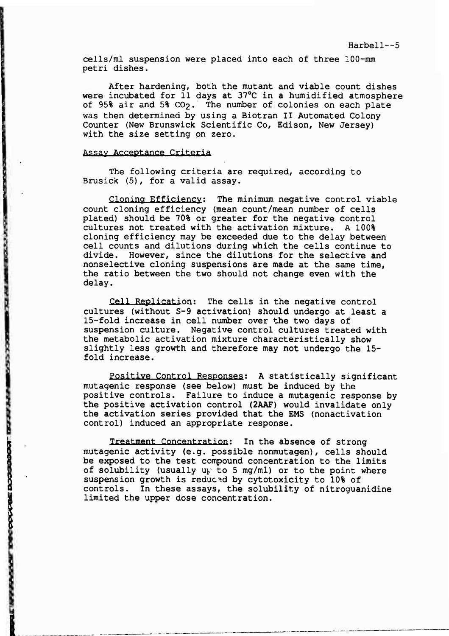cells/ml suspension were placed into each of three lOO-mm petri dishes.

After hardening, both the mutant and viable count dishes were incubated for 11 days at 37°C in a humidified atmosphere of 95% air and 5% CO2. The number of colonies on each plate was then determined by using a Biotran II Automated Colony Counter (New Brunswick Scientific Co, Edison, New Jersey) with the size setting on zero.

## **Assay Acceptance Criteria**

**LEASE INCORPORATION IN SAT** 

The following criteria are required, according to Brusick (5), for a valid assay.

Cloning Efficiency-' The minimum negative control viable count cloning efficiency (mean count/mean number of cells plated) should be 70% or greater for the negative control cultures not treated with the activation mixture. A 100% cloning efficiency may be exceeded due to the delay between cell counts and dilutions during which the cells continue to divide. However, since the dilutions for the selective and nonselective cloning suspensions are made at the same time, the ratio between the two should not change even with the delay.

Cell Replication: The cells in the negative control cultures (without S-9 activation) should undergo at least a 15-fold increase in cell number over the two days of suspension culture. Negative control cultures treated with the metabolic activation mixture characteristically show slightly less growth and therefore may not undergo the 15 fold increase.

Positive Control Responses: A statistically significant mutagenic response (see below) must be induced by the positive controls. Failure to induce a mutagenic response by the positive activation control (2AAF) would invalidate only the activation series provided that the EMS (nonactivation control) induced an appropriate response.

**Treatment Concentration:** in the absence of strong mutagenic activity (e.g. possible nonmutagen), cells should be exposed to the test compound concentration to the limits of solubility (usually  $up$  to 5 mg/ml) or to the point where suspension growth is reduced by cytotoxicity to 10% of controls. In these assays, the solubility of nitroguanidine limited the upper dose concentration.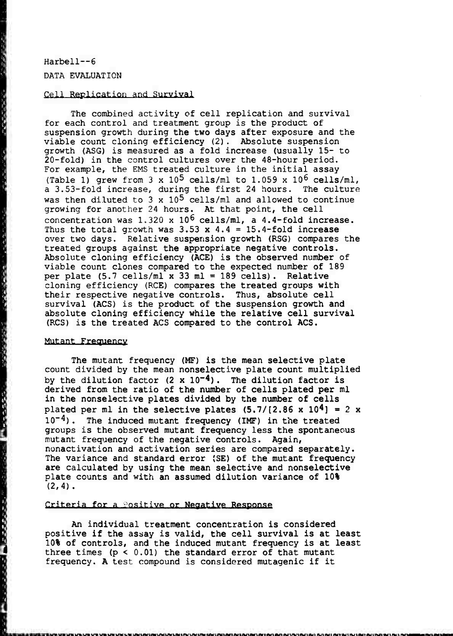# Harbell~6 DATA EVALUATION

不准具有最高级

医生产的复数形式 化三氯化氢 医电影

"你好解释我想要 1000 就能够的经结核

1、每日的时候的时候

**【 程序指标指标语句】** 

#### *Q?.ll* Replication and Survival

The combined activity of cell replication and survival for each control and treatment group is the product of suspension growth during the two days after exposure and the viable count cloning efficiency (2). Absolute suspension growth (ASG) is measured as a fold increase (usually 15- to 20-fold) in the control cultures over the 48-hour period. For example, the EMS treated culture in the initial assay (Table 1) grew from  $3 \times 10^5$  cells/ml to  $1.059 \times 10^6$  cells/ml, a 3.53-fold increase, during the first 24 hours. The culture was then diluted to 3 x  $10^5$  cells/ml and allowed to continue growing for another 24 hours. At that point, the cell concentration was  $1.320 \times 10^6$  cells/ml, a 4.4-fold increase. Thus the total growth was  $3.53 \times 4.4 = 15.4$ -fold increase over two days. Relative suspension growth (RSG) compares the treated groups against the appropriate negative controls. Absolute cloning efficiency (ACE) is the observed number of viable count clones compared to the expected number of 189 per plate (5.7 cells/ml x 33 ml = 189 cells). Relative cloning efficiency (RCE) compares the treated groups with their respective negative controls. Thus, absolute cell survival (ACS) is the product of the suspension growth and absolute cloning efficiency while the relative cell survival (RCS) is the treated ACS compared to the control ACS.

#### Mutant Frequency

The mutant frequency (MF) is the mean selective plate count divided by the mean nonselective plate count multiplied by the dilution factor  $(2 \times 10^{-4})$ . The dilution factor is derived from the ratio of the number of cells plated per ml in the nonselective plates divided by the number of cells plated per ml in the selective plates  $(5.7/(2.86 \times 10^4)) = 2 \times$  $10^{-4}$ ). The induced mutant frequency (IMF) in the treated groups is the observed mutant frequency less the spontaneous mutant frequency of the negative controls. Again, nonactivation and activation series are compared separately. The variance and standard error (SE) of the mutant frequency are calculated by using the mean selective and nonselective plate counts and with an assumed dilution variance of 10%  $(2, 4)$ .

#### Griteria for a **Positive or Negative Response**

An individual treatment concentration is considered positive if the assay is valid, the cell survival is at least 10% of controls, and the induced mutant frequency is at least three times  $(p < 0.01)$  the standard error of that mutant frequency. A test compound is considered mutagenic if it

.<br>Islamski krygu i na vysta vysta strata statorom od trata od vysta za vysta za od trata za statora za statorom o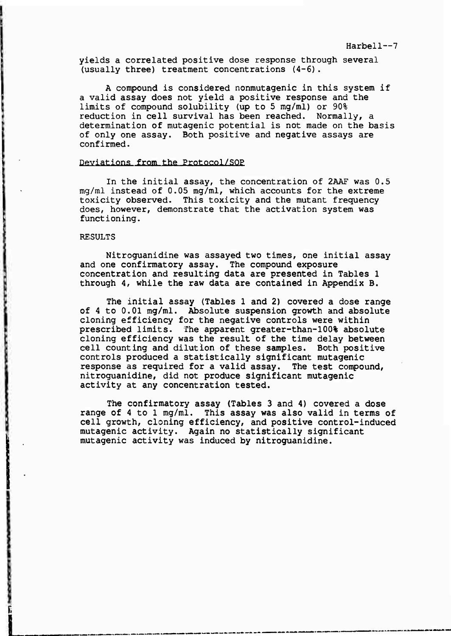#### Harbell~7

yields a correlated positive dose response through several (usually three) treatment concentrations (4-6).

A compound is considered nonmutagenic in this system if a valid assay does not yield a positive response and the limits of compound solubility (up to 5 mg/ml) or 90% reduction in cell survival has been reached. Normally, a determination of mutagenic potential is not made on the basis of only one assay. Both positive and negative assays are confirmed.

### Deviations from the Protocol/SOP

In the initial assay, the concentration of 2AAF was 0.5 mg/ml instead of 0.05 mg/ml, which accounts for the extreme toxicity observed. This toxicity and the mutant frequency does, however, demonstrate that the activation system was functioning.

## RESULTS

Nitroguanidine was assayed two times, one initial assay and one confirmatory assay. The compound exposure concentration and resulting data are presented in Tables <sup>1</sup> through 4, while the raw data are contained in Appendix B.

The initial assay (Tables 1 and 2) covered a dose range of 4 to 0.01 mg/ml. Absolute suspension growth and absolute cloning efficiency for the negative controls were within prescribed limits. The apparent greater-than-100% absolute cloning efficiency was the result of the time delay between cell counting and dilution of these samples. Both positive controls produced a statistically significant mutagenic response as required for a valid assay. The test compound, nitroguanidine, did not produce significant mutagenic activity at any concentration tested.

The confirmatory assay (Tables 3 and 4) covered a dose range of 4 to 1 mg/ml. This assay was also valid in terms of cell growth, cloning efficiency, and positive control-induced mutagenic activity. Again no statistically significant mutagenic activity was induced by nitroguanidine.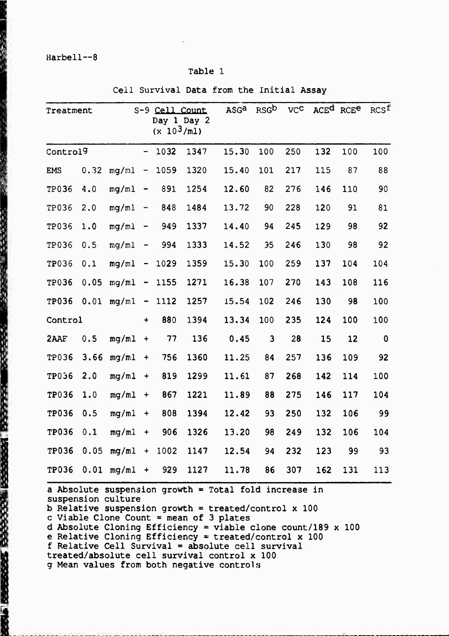"我们是一个人的。"

**The Second Contract of the Second Contract of Contract of Contract of Contract of Contract of Contract of Contract of Contract of Contract of Contract of Contract of Contract of Contract of Contract of Contract of Contrac** 

## Table <sup>1</sup>

Cell Survival Data from the Initial Assay

| Treatment            |      |       |                              | S-9 Cell Count<br>$(x 10^3/\text{m1})$ | Day 1 Day 2 | ASGa  | RSGb | <b>VCC</b> |     | ACE <sup>d</sup> RCE <sup>e</sup> | RCS <sup>f</sup> |
|----------------------|------|-------|------------------------------|----------------------------------------|-------------|-------|------|------------|-----|-----------------------------------|------------------|
| Control <sup>9</sup> |      |       | $\qquad \qquad \blacksquare$ | 1032                                   | 1347        | 15.30 | 100  | 250        | 132 | 100                               | 100              |
| <b>EMS</b>           | 0.32 | mq/ml | $\frac{1}{2}$                | 1059                                   | 1320        | 15.40 | 101  | 217        | 115 | 87                                | 88               |
| TP036                | 4.0  | mq/m1 | $\qquad \qquad$              | 891                                    | 1254        | 12.60 | 82   | 276        | 146 | 110                               | 90               |
| TP036                | 2.0  | mq/ml | $\qquad \qquad \blacksquare$ | 848                                    | 1484        | 13.72 | 90   | 228        | 120 | 91                                | 81               |
| <b>TP036</b>         | 1.0  | mq/ml | $\blacksquare$               | 949                                    | 1337        | 14.40 | 94   | 245        | 129 | 98                                | 92               |
| TP036                | 0.5  | mq/ml | -                            | 994                                    | 1333        | 14.52 | 35   | 246        | 130 | 98                                | 92               |
| TP036                | 0.1  | mq/ml | $\qquad \qquad \blacksquare$ | 1029                                   | 1359        | 15.30 | 100  | 259        | 137 | 104                               | 104              |
| TP036                | 0.05 | mq/ml | $\qquad \qquad \blacksquare$ | 1155                                   | 1271        | 16.38 | 107  | 270        | 143 | 108                               | 116              |
| <b>TP036</b>         | 0.01 | mg/ml | -                            | 1112                                   | 1257        | 15.54 | 102  | 246        | 130 | 98                                | 100              |
| Control              |      |       | $\ddotmark$                  | 880                                    | 1394        | 13.34 | 100  | 235        | 124 | 100                               | 100              |
| 2AAF                 | 0.5  | mq/ml | $\ddot{\phantom{1}}$         | 77                                     | 136         | 0.45  | 3    | 28         | 15  | 12                                | $\mathbf 0$      |
| <b>TP036</b>         | 3.66 | mg/ml | $\ddotmark$                  | 756                                    | 1360        | 11.25 | 84   | 257        | 136 | 109                               | 92               |
| <b>TP036</b>         | 2.0  | mq/ml | $\ddotmark$                  | 819                                    | 1299        | 11.61 | 87   | 268        | 142 | 114                               | 100              |
| <b>TP036</b>         | 1.0  | mg/ml | $\ddotmark$                  | 867                                    | 1221        | 11.89 | 88   | 275        | 146 | 117                               | 104              |
| <b>TP036</b>         | 0.5  | mq/ml | $\ddot{}$                    | 808                                    | 1394        | 12.42 | 93   | 250        | 132 | 106                               | 99               |
| <b>TP036</b>         | 0.1  | mg/ml | $\ddot{}$                    | 906                                    | 1326        | 13.20 | 98   | 249        | 132 | 106                               | 104              |
| <b>TP036</b>         | 0.05 | mq/ml | $\ddotmark$                  | 1002                                   | 1147        | 12.54 | 94   | 232        | 123 | 99                                | 93               |
| <b>TP036</b>         | 0.01 | mq/ml | $\ddot{\phantom{1}}$         | 929                                    | 1127        | 11.78 | 86   | 307        | 162 | 131                               | 113              |

a Absolute suspension growth = Total fold increase in suspension culture b Relative suspension growth = treated/control x 100 c Viable Clone Count = mean of 3 plates d Absolute Cloning Efficiency = viable clone count/189 x 100 e Relative Cloning Efficiency = treated/control x 100

f Relative Cell Survival = absolute cell survival

treated/absolute cell survival control x 100

g Mean values from both negative controls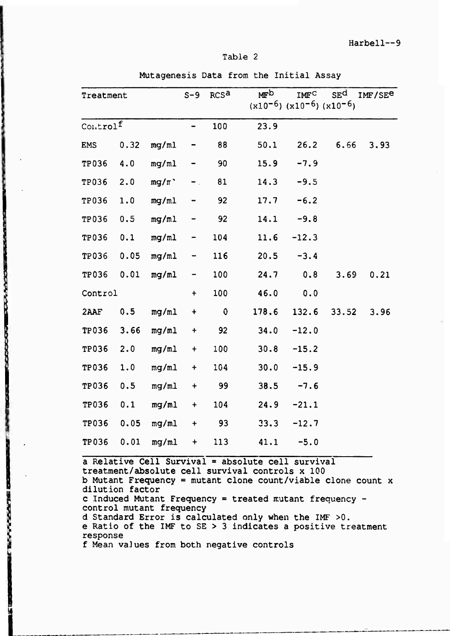#### Table 2

| Treatment                   |      |          | $S-9$       | RCS <sup>a</sup> | MFD<br>$(x10^{-6})$ $(x10^{-6})$ $(x10^{-6})$ | IMFC    | SE <sup>d</sup> | IMF/SE <sup>e</sup> |
|-----------------------------|------|----------|-------------|------------------|-----------------------------------------------|---------|-----------------|---------------------|
| $\text{Control}^\mathtt{f}$ |      |          | -           | 100              | 23.9                                          |         |                 |                     |
| EMS                         | 0.32 | mg/ml    | -           | 88               | 50.1                                          | 26.2    | 6.66            | 3.93                |
| <b>TP036</b>                | 4.0  | mg/ml    | -           | 90               | 15.9                                          | $-7.9$  |                 |                     |
| <b>TP036</b>                | 2.0  | $mg/\pi$ | $-$ .       | 81               | 14.3                                          | $-9.5$  |                 |                     |
| <b>TP036</b>                | 1.0  | mq/ml    |             | 92               | 17.7                                          | $-6.2$  |                 |                     |
| <b>TP036</b>                | 0.5  | mg/ml    |             | 92               | 14.1                                          | $-9.8$  |                 |                     |
| <b>TP036</b>                | 0.1  | mg/ml    | -           | 104              | 11.6                                          | $-12.3$ |                 |                     |
| <b>TP036</b>                | 0.05 | mg/ml    | -           | 116              | 20.5                                          | $-3.4$  |                 |                     |
| <b>TP036</b>                | 0.01 | mg/ml    | -           | 100              | 24.7                                          | 0.8     | 3.69            | 0.21                |
| Control                     |      |          | $+$         | 100              | 46.0                                          | 0.0     |                 |                     |
| 2AAF                        | 0.5  | mg/ml    | $\ddotmark$ | $\mathbf 0$      | 178.6                                         | 132.6   | 33.52           | 3.96                |
| <b>TP036</b>                | 3.66 | mg/ml    | $+$         | 92               | 34.0                                          | $-12.0$ |                 |                     |
| TP036                       | 2.0  | mg/ml    | $+$         | 100              | 30.8                                          | $-15.2$ |                 |                     |
| <b>TP036</b>                | 1.0  | mg/ml    | $+$         | 104              | 30.0                                          | $-15.9$ |                 |                     |
| TP036                       | 0.5  | mg/ml    | $\ddot{}$   | 99               | 38.5                                          | $-7.6$  |                 |                     |
| <b>TP036</b>                | 0.1  | mg/ml    | $+$         | 104              | 24.9                                          | $-21.1$ |                 |                     |
| <b>TP036</b>                | 0.05 | mg/ml    | $\ddot{}$   | 93               | 33.3                                          | $-12.7$ |                 |                     |
| TP036                       | 0.01 | mg/ml    | $\ddot{}$   | 113              | 41.1                                          | $-5.0$  |                 |                     |

Mutagenesis Data from the Initial Assay

a Relative Cell Survival = absolute cell survival treatment/absolute cell survival controls x 100 b Mutant Frequency = mutant clone count/viable clone count  $x$ dilution factor c Induced Mutant Frequency = treated mutant frequency control mutant frequency d Standard Error is calculated only when the IMF >0. e Ratio of the IMF to SE > 3 indicates a positive treatment response f Mean vaJues from both negative controls

**L**

**CONSUMER** PROPERTY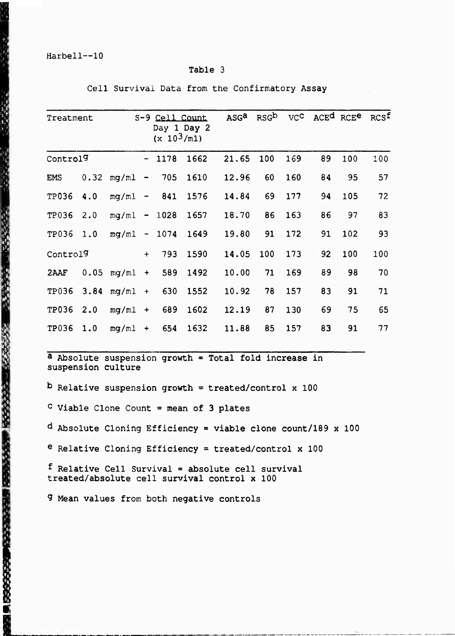## Table 3

| Treatment            |      |                |                          | S-9 Cell Count<br>$(x 10^3/m1)$ | Day 1 Day 2 | ASG <sup>a</sup> | RSG <sub>b</sub> | VC <sup>c</sup> |    | ACE <sup>d</sup> RCE <sup>e</sup> | RCSf |
|----------------------|------|----------------|--------------------------|---------------------------------|-------------|------------------|------------------|-----------------|----|-----------------------------------|------|
| Control <sup>9</sup> |      |                | $\sim$                   | 1178                            | 1662        | 21.65            | 100              | 169             | 89 | 100                               | 100  |
| <b>EMS</b>           | 0.32 | mg/ml          | $\overline{\phantom{a}}$ | 705                             | 1610        | 12.96            | 60               | 160             | 84 | 95                                | 57   |
| TP036                | 4.0  | mg/ml          |                          | $-841$                          | 1576        | 14.84            | 69               | 177             | 94 | 105                               | 72   |
| TP036                | 2.0  | $mg/ml - 1028$ |                          |                                 | 1657        | 18.70            | 86               | 163             | 86 | 97                                | 83   |
| TP036                | 1.0  | $mq/ml -$      |                          | 1074                            | 1649        | 19.80            | 91               | 172             | 91 | 102                               | 93   |
| Control9             |      |                | $+$                      | 793                             | 1590        | 14.05            | 100              | 173             | 92 | 100                               | 100  |
| 2AAF                 | 0.05 | mq/ml          | $+$                      | 589                             | 1492        | 10.00            | 71               | 169             | 89 | 98                                | 70   |
| TP036                | 3.84 | mq/ml          | $+$                      | 630                             | 1552        | 10.92            | 78               | 157             | 83 | 91                                | 71   |
| <b>TP036</b>         | 2.0  | mq/ml          | $+$                      | 689                             | 1602        | 12.19            | 87               | 130             | 69 | 75                                | 65   |
| TP036                | 1.0  | mg/ml          | $+$                      | 654                             | 1632        | 11.88            | 85               | 157             | 83 | 91                                | 77   |

Cell Survival Data from the Confirmatory Assay

a Absolute suspension growth = Total fold increase in suspension culture

 $b$  Relative suspension growth = treated/control x 100

c Viable Clone Count = mean of 3 plates

d Absolute Cloning Efficiency = viable clone count/189 x 100

e Relative Cloning Efficiency = treated/contro1 x 100

f Relative Cell Survival = absolute cell survival treated/absolute cell survival control x 100

9 Mean values from both negative controls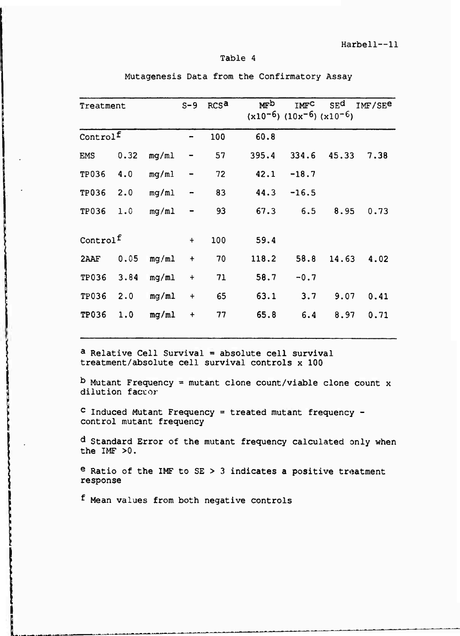## Table 4

| Treatment            |      |       | $S-9$                | RCS <sup>a</sup> | MFD<br>$(x10^{-6})$ $(10x^{-6})$ $(x10^{-6})$ | <b>IMFC</b> | SE <sup>d</sup> | IMF/SE <sup>e</sup> |
|----------------------|------|-------|----------------------|------------------|-----------------------------------------------|-------------|-----------------|---------------------|
| Controlf             |      |       |                      | 100              | 60.8                                          |             |                 |                     |
| <b>EMS</b>           | 0.32 | mg/ml |                      | 57               | 395.4                                         | 334.6       | 45.33           | 7.38                |
| TP036                | 4.0  | mg/ml |                      | 72               | 42.1                                          | $-18.7$     |                 |                     |
| TP036                | 2.0  | mg/ml |                      | 83               | 44.3                                          | $-16.5$     |                 |                     |
| TP036                | 1.0  | mg/ml |                      | 93               | 67.3                                          | 6.5         | 8.95            | 0.73                |
| Control <sup>f</sup> |      |       | $\ddot{}$            | 100              | 59.4                                          |             |                 |                     |
| 2AAF                 | 0.05 | mg/ml | $\ddot{\phantom{1}}$ | 70               | 118.2                                         | 58.8        | 14.63           | 4.02                |
| TP036                | 3.84 | mg/ml | $\ddot{}$            | 71               | 58.7                                          | $-0.7$      |                 |                     |
| TP036                | 2.0  | mg/ml | $\ddot{}$            | 65               | 63.1                                          | 3.7         | 9.07            | 0.41                |
| <b>TP036</b>         | 1.0  | mg/ml | $\ddot{}$            | 77               | 65.8                                          | 6.4         | 8.97            | 0.71                |

Mutagenesis Data from the Confirmatory Assay

a Relative Cell Survival = absolute cell survival treatment/absolute cell survival controls x 100

b Mutant Frequency = mutant clone count/viable clone count x dilution factor

c Induced Mutant Frequency = treated mutant frequency control mutant frequency

d Standard Error of the mutant frequency calculated only when the IMF >0.

e Ratio of the IMF to SE > 3 indicates a positive treatment response

f Mean values from both negative controls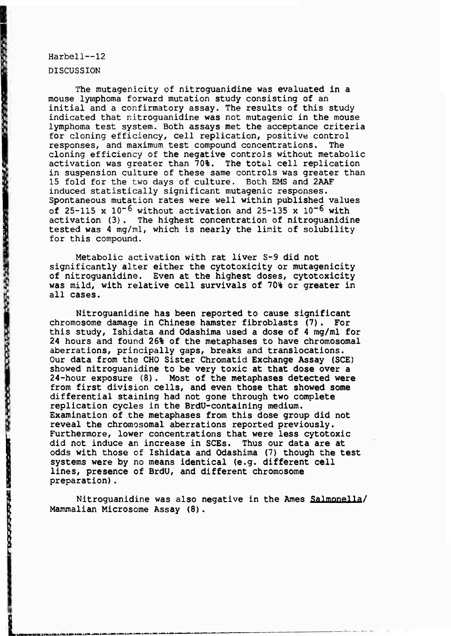DISCUSSION

"你的情况"。 "我们的生活,我们的心理的。" "我们的人们的人们的人们的人们的人们,我们的人们的人们,我们的人们的人们,我们的人们的人们的人们。" "我们的人

The mutagenicity of nitroguanidine was evaluated in a mouse lymphoma forward mutation study consisting of an initial and a confirmatory assay. The results of this study indicated that nitroguanidine was not mutagenic in the mouse lymphoma test system. Both assays met the acceptance criteria for cloning efficiency, cell replication, positive control responses, and maximum test compound concentrations. The cloning efficiency of the negative controls without metabolic<br>activation was greater than 70%. The total cell replication activation was greater than 70%. in suspension culture of these same controls was greater than 15 fold for the two days of culture. Both EMS and 2AAF induced statistically significant mutagenic responses. Spontaneous mutation rates were well within published values of 25-115 x  $10^{-6}$  without activation and 25-135 x  $10^{-6}$  with activation (3). The highest concentration of nitroguanidine tested was 4 mg/ml, which is nearly the limit of solubility for this compound.

Metabolic activation with rat liver S-9 did not significantly alter either the cytotoxicity or mutagenicity of nitroguanidine. Even at the highest doses, cytotoxicity was mild, with relative cell survivals of 70% or greater in all cases.

Nitroguanidine has been reported to cause significant chromosome damage in Chinese hamster fibroblasts (7). For this study, Ishidata and Odashlma used a dose of 4 mg/ml for 24 hours and found 26% of the metaphases to have chromosomal aberrations, principally gaps, breaks and translocations. Our data from the CHO Sister Chromatid Exchange Assay (SCE) showed nitroguanidine to be very toxic at that dose over a 24-hour exposure (8). Most of the metaphases detected were from first division cells, and even those that showed some differential staining had not gone through two complete replication cycles in the BrdU-containing medium. Examination of the metaphases from this dose group did not reveal the chromosomal aberrations reported previously. Furthermore, lower concentrations that were less cytotoxic did not induce an increase in SCEs. Thus our data are at odds with those of Ishidata and Odashima (7) though the test systems were by no means identical (e.g. different cell lines, presence of BrdU, and different chromosome preparation).

Nitroguanidine was also negative in the Ames Salmonella/ Mammalian Microsome Assay (8).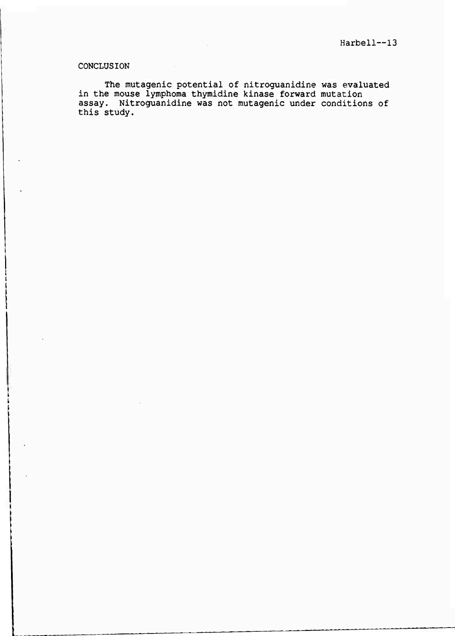## CONCLUSION

The mutagenic potential of nitroguanidine was evaluated in the mouse lymphoma thymidine kinase forward mutation assay. Nitroguanidine was not mutagenic under conditions of this study.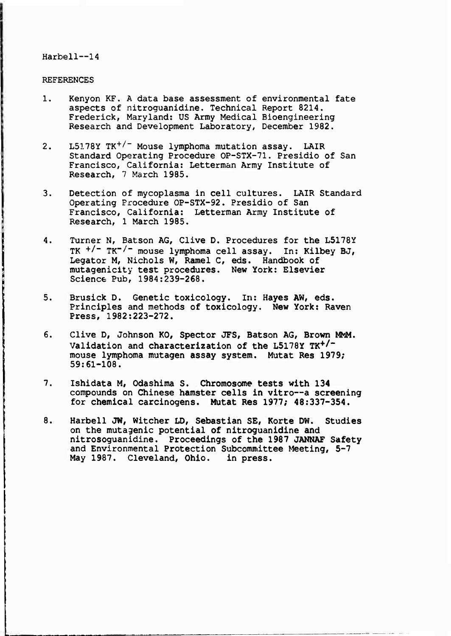## **REFERENCES**

- 1. Kenyon KF. A data base assessment of environmental fate aspects of nitroguanidine. Technical Report 8214. Frederick, Maryland: US Army Medical Bioengineering Research and Development Laboratory, December 1982.
- 2. L5178Y TK<sup>+/-</sup> Mouse lymphoma mutation assay. LAIR Standard Operating Procedure OP-STX-71. Presidio of San Francisco, California: Letterman Army Institute of Research, 7 March 1985.
- 3. Detection of mycoplasma in cell cultures. LAIR Standard Operating Procedure OP-STX-92. Presidio of San Francisco, California: Letterman Army Institute **of** Research, <sup>1</sup> March 1985.
- 4. Turner N, Batson AG, Clive D. Procedures for **the** L5178Y TK <sup>+</sup> /~ TK~/" **mouse lymphoma cell assay. In: Kilbey BJ,** Legator **M,** Nichols **W, Ramel** C, **eds.** Handbook **of** mutagenicity **test procedures. New York: Elsevier Science Pub, 1984:239-268.**
- **5. Brusick D. Genetic toxicology. In: Hayes AW, eds. Principles and methods of toxicology. New York: Raven Press, 1982:223-272.**
- 6. Clive **D, Johnson KO, Spector JFS, Batson AG, Brown MMM. Validation and characterization of the L5178Y TK<sup>+</sup> /" mouse lymphoma mutagen assay system. Mutat Res 1979; 59:61-108.**
- **7. Ishidata M, Odashima S. Chromosome tests with 134 compounds on Chinese hamster cells in vitro—a screening for chemical carcinogens. Mutat Res 1977; 48:337-354.**
- **8. Harbell JW, witcher LD, Sebastian SE, Körte OW. Studies on the mutagenic potential of nitroguanidine and nitrosoguanidine. Proceedings of the 1987 JANNAF Safety and Environmental Protection Subcommittee Meeting, 5-7 May 1987. Cleveland, Ohio. in press.**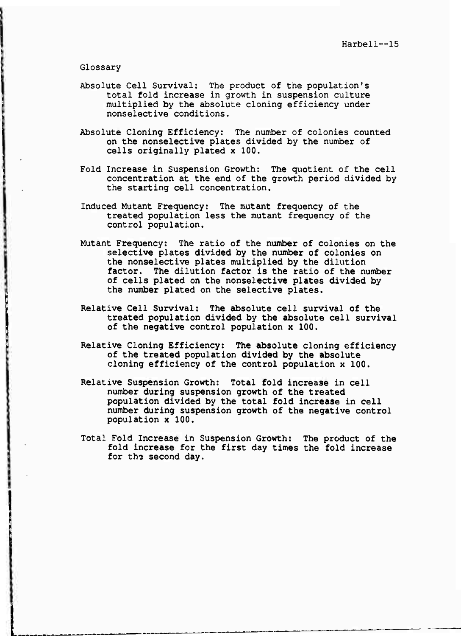Glossary

- Absolute Cell Survival: The product of the population's total fold increase in growth in suspension culture multiplied by the absolute cloning efficiency under nonselective conditions.
- Absolute Cloning Efficiency: The number of colonies counted on the nonselective plates divided by the number of cells originally plated x 100.
- Fold Increase in Suspension Growth: The quotient of the cell concentration at the end of the growth period divided by the starting cell concentration.
- Induced Mutant Frequency: The mutant frequency of the treated population less the mutant frequency of the control population.
- Mutant Frequency: The ratio of the number of colonies on the selective plates divided by the number of colonies on the nonselective plates multiplied by the dilution factor. The dilution factor is the ratio of the number of cells plated on the nonselective plates divided by the number plated on the selective plates.
- Relative Cell Survival: The absolute cell survival of the treated population divided by the absolute cell survival of the negative control population x 100.
- Relative Cloning Efficiency: The absolute cloning efficiency of the treated population divided by the absolute cloning efficiency of the control population x 100.
- Relative Suspension Growth: Total fold increase in cell number during suspension growth of the treated population divided by the total fold increase in cell number during suspension growth of the negative control population x 100.
- Total Fold Increase in Suspension Growth; The product of the fold increase for the first day times the fold increase for the second day.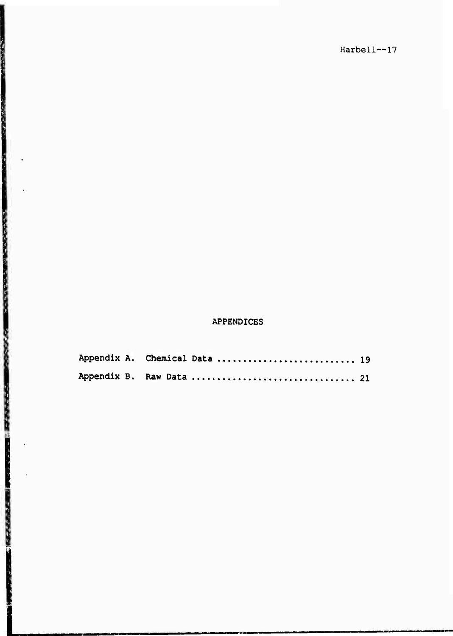# APPENDICES

|  | Appendix A. Chemical Data  19 |  |
|--|-------------------------------|--|
|  | Appendix B. Raw Data  21      |  |

「大学のこの場所には、そのことを、このことに、このことを見るところには、このことを

「おんな」という。 こうかい あかな あかな (の) (の) の) なんか しょうしょう かんかんかん しっけん かんかん (の) と ストンドライブ (の) かんかん (の) かんしん (の) こうしょう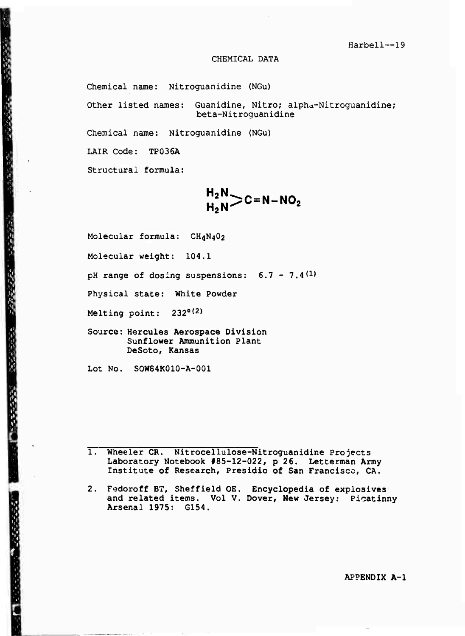#### CHEMICAL DATA

Chemical name: Nitroguanidine (NGu)

Other listed names: Guanidine, Nitro; alpha-Nitroguanidine; beta-Nitroguanidine

Chemical name: Nitroguanidine (NGu)

LAIR Code: TP036A

经一次的经营的债券 一个的现在分词 化二乙烯酸医三乙烯酸

Structural formula:

**H2N** ..<sub>2</sub>..>C=N-NO<sub>2</sub>

Molecular formula: CH4N4O2

Molecular weight: 104.1

pH range of dosing suspensions:  $6.7 - 7.4(1)$ 

Physical state: White Powder

Melting point: 232°(2)

Source: Hercules Aerospace Division Sunflower Ammunition Plant DeSoto, Kansas

Lot No. SOW64K010-A-001

1. Wheeler CR. Nitrocellulose-Nitroguanidine Projects Laboratory Notebook #85-12-022, p 26. Letterman Army Institute of Research, Presidio of **San** Francisco, CA.

Fedoroff BT, Sheffield OE. Encyclopedia of explosives and related items. Vol V. Dover, **New** Jersey: Picatinny Arsenal 1975: G154.

APPENDIX A-l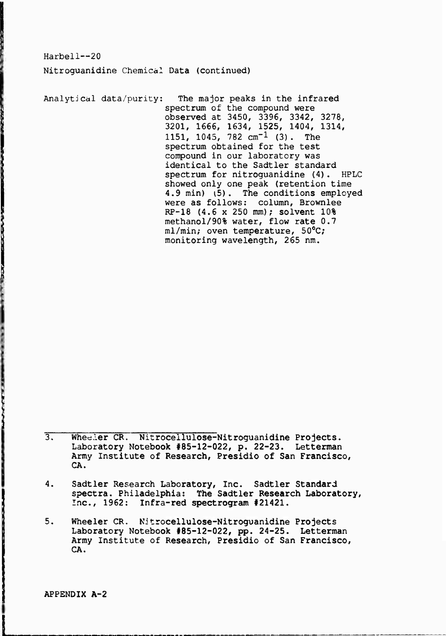Harbell—20 Nitroguanidine Chemical Data (continued)

Analytical data/purity: The major peaks in the infrared spectrum of the compound were observed at 3450, 3396, 3342, 3278, 3201, 1666, 1634, 1525, 1404, 1314, 1151, 1045, 782  $cm^{-1}$  (3). The spectrum obtained for the test compound in our laboratory was identical to the Sadtler standard spectrum for nitroguanidine (4). HPLC showed only one peak (retention time 4.9 min) *(5).* The conditions employed were as follows: column, Brownlee RP-18 (4.6 x 250 mm); solvent 10% methanol/90% water, flow rate 0.7 ml/min; oven temperature, 50°C; monitoring wavelength, 265 nm.

3. Whee.ler **CR. Nitrocellulose-Nitroguanidine Projects. Laboratory Notebook #85-12-022, p. 22-23. Letterman Army** Institute **of Research, Presidio of San Francisco, CA.**

- **4. Sadtler Research Laboratory, Inc. Sadtler Standard spectra. Philadelphia: The Sadtler Research Laboratory,** Inc., **1962: Infra-red spectrogram #21421.**
- **5. Wheeler CR. Nitrocellulose-Nitroguanidine Projects Laboratory Notebook #85-12-022, pp. 24-25. Letterman Army Institute of Research, Presidio of San Francisco, CA.**

**APPENDIX A-2**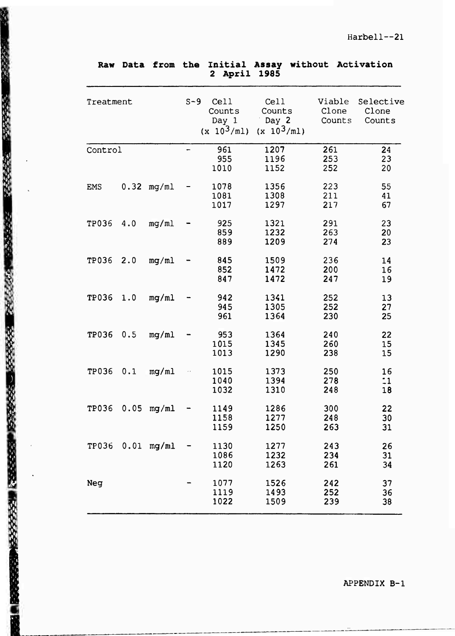|            |      |                  |       | uhttt                                    | 190J                                     |                           |                              |
|------------|------|------------------|-------|------------------------------------------|------------------------------------------|---------------------------|------------------------------|
| Treatment  |      |                  | $S-9$ | Cell<br>Counts<br>Day 1<br>$(x 10^3/ml)$ | Cell<br>Counts<br>Day 2<br>$(x 10^3/ml)$ | Viable<br>Clone<br>Counts | Selective<br>Clone<br>Counts |
| Control    |      |                  | ÷     | 961<br>955<br>1010                       | 1207<br>1196<br>1152                     | 261<br>253<br>252         | 24<br>23<br>20               |
| <b>EMS</b> | 0.32 | mg/ml            |       | 1078<br>1081<br>1017                     | 1356<br>1308<br>1297                     | 223<br>211<br>217         | 55<br>41<br>67               |
| TP036      | 4.0  | mg/ml            |       | 925<br>859<br>889                        | 1321<br>1232<br>1209                     | 291<br>263<br>274         | 23<br>20<br>23               |
| TP036      | 2.0  | mq/ml            |       | 845<br>852<br>847                        | 1509<br>1472<br>1472                     | 236<br>200<br>247         | 14<br>16<br>19               |
| TP036      | 1.0  | mq/ml            |       | 942<br>945<br>961                        | 1341<br>1305<br>1364                     | 252<br>252<br>230         | 13<br>27<br>25               |
| TP036      | 0.5  | mq/ml            |       | 953<br>1015<br>1013                      | 1364<br>1345<br>1290                     | 240<br>260<br>238         | 22<br>15<br>15               |
| TP036      | 0.1  | mg/ml            |       | 1015<br>1040<br>1032                     | 1373<br>1394<br>1310                     | 250<br>278<br>248         | 16<br>$\ddot{.}1$<br>18      |
| TP036      | 0.05 | mq/ml            |       | 1149<br>1158<br>1159                     | 1286<br>1277<br>1250                     | 300<br>248<br>263         | 22<br>30<br>31               |
|            |      | TP036 0.01 mg/ml |       | 1130<br>1086<br>1120                     | 1277<br>1232<br>1263                     | 243<br>234<br>261         | 26<br>31<br>34               |
| Neg        |      |                  |       | 1077<br>1119<br>1022                     | 1526<br>1493<br>1509                     | 242<br>252<br>239         | 37<br>36<br>38               |

" 1990年,1990年,1990年度, 1990年度, 1990年度, 1990年度, 1990年度, 1990年度, 1990年度, 1990年度, 1990年度, 1990年度, 1990年度, 1990年度, 1990年

**REFERE** 

**Raw Data from the Initial Assay without Activation April 1985**

APPENDIX B-l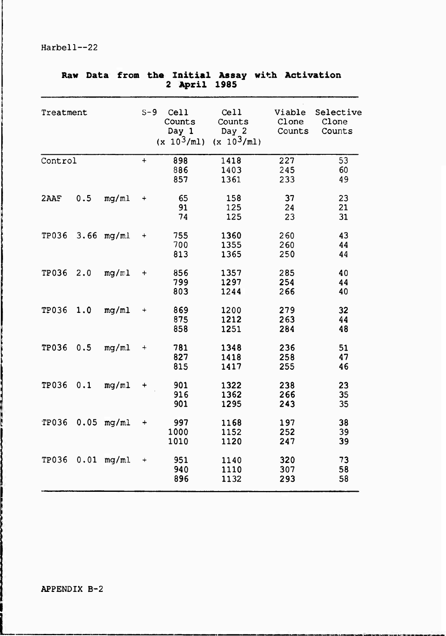| ĸaw       | Data | <b>IIOM</b>  | <b>TUG</b> | April<br>$\mathbf{2}$                    | TUICIST WASSA MILU<br>1985               | ACTIVATION                |                              |
|-----------|------|--------------|------------|------------------------------------------|------------------------------------------|---------------------------|------------------------------|
| Treatment |      |              | $S-9$      | Cell<br>Counts<br>Day 1<br>$(x 10^3/m1)$ | Cell<br>Counts<br>Day 2<br>$(x 10^3/ml)$ | Viable<br>Clone<br>Counts | Selective<br>Clone<br>Counts |
| Control   |      |              | $+$        | 898<br>886<br>857                        | 1418<br>1403<br>1361                     | 227<br>245<br>233         | 53<br>60<br>49               |
| 2AAF      | 0.5  | mq/ml        | $\ddot{}$  | 65<br>91<br>74                           | 158<br>125<br>125                        | 37<br>24<br>23            | 23<br>21<br>31               |
| TP036     |      | $3.66$ mg/ml | $\ddot{}$  | 755<br>700<br>813                        | 1360<br>1355<br>1365                     | 260<br>260<br>250         | 43<br>44<br>44               |
| TP036     | 2.0  | mg/m1        | $\ddot{}$  | 856<br>799<br>803                        | 1357<br>1297<br>1244                     | 285<br>254<br>266         | 40<br>44<br>40               |
| TP036     | 1.0  | mq/ml        | $\ddot{}$  | 869<br>875<br>858                        | 1200<br>1212<br>1251                     | 279<br>263<br>284         | 32<br>44<br>48               |
| TP036     | 0.5  | mq/ml        | $\ddot{}$  | 781<br>827<br>815                        | 1348<br>1418<br>1417                     | 236<br>258<br>255         | 51<br>47<br>46               |
| TP036     | 0.1  | mg/ml        | $\ddot{}$  | 901<br>916<br>901                        | 1322<br>1362<br>1295                     | 238<br>266<br>243         | 23<br>35<br>35               |
| TP036     | 0.05 | mq/ml        | $\ddot{}$  | 997<br>1000<br>1010                      | 1168<br>1152<br>1120                     | 197<br>252<br>247         | 38<br>39<br>39               |
| TP036     | 0.01 | mq/ml        | $\ddot{}$  | 951<br>940<br>896                        | 1140<br>1110<br>1132                     | 320<br>307<br>293         | 73<br>58<br>58               |

# **Raw Data from the Initial Assay with Activation**

j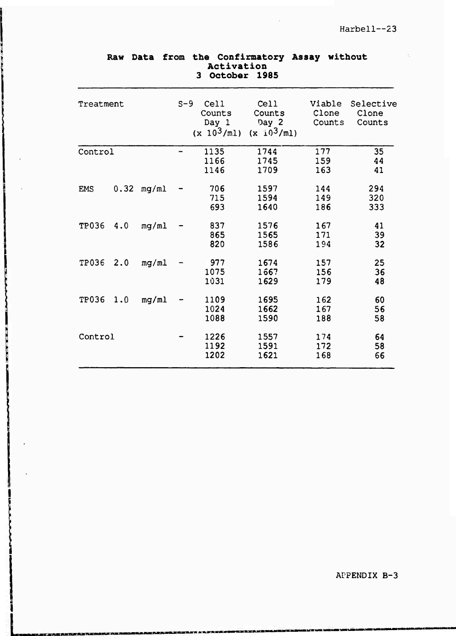$\hat{\mathcal{L}}$ 

|              | へいいいしょ |       |       |                                          |                                          |                           |                              |  |  |  |  |
|--------------|--------|-------|-------|------------------------------------------|------------------------------------------|---------------------------|------------------------------|--|--|--|--|
| Treatment    |        |       | $S-9$ | Cell<br>Counts<br>Day 1<br>$(x 10^3/ml)$ | Cell<br>Counts<br>Day 2<br>$(x i0^3/m1)$ | Viable<br>Clone<br>Counts | Selective<br>Clone<br>Counts |  |  |  |  |
| Control      |        |       | -     | 1135<br>1166<br>1146                     | 1744<br>1745<br>1709                     | 177<br>159<br>163         | 35<br>44<br>41               |  |  |  |  |
| <b>EMS</b>   | 0.32   | mq/ml |       | 706<br>715<br>693                        | 1597<br>1594<br>1640                     | 144<br>149<br>186         | 294<br>320<br>333            |  |  |  |  |
| TP036        | 4.0    | mq/ml |       | 837<br>865<br>820                        | 1576<br>1565<br>1586                     | 167<br>171<br>194         | 41<br>39<br>32               |  |  |  |  |
| <b>TP036</b> | 2.0    | mg/ml |       | 977<br>1075<br>1031                      | 1674<br>1667<br>1629                     | 157<br>156<br>179         | 25<br>36<br>48               |  |  |  |  |
| <b>TP036</b> | 1.0    | mg/ml |       | 1109<br>1024<br>1088                     | 1695<br>1662<br>1590                     | 162<br>167<br>188         | 60<br>56<br>58               |  |  |  |  |
| Control      |        |       |       | 1226<br>1192<br>1202                     | 1557<br>1591<br>1621                     | 174<br>172<br>168         | 64<br>58<br>66               |  |  |  |  |

**TOP CAR** 

## **Raw Data from the Confirmatory Assay without Activation October 1985**

APPENDIX B-3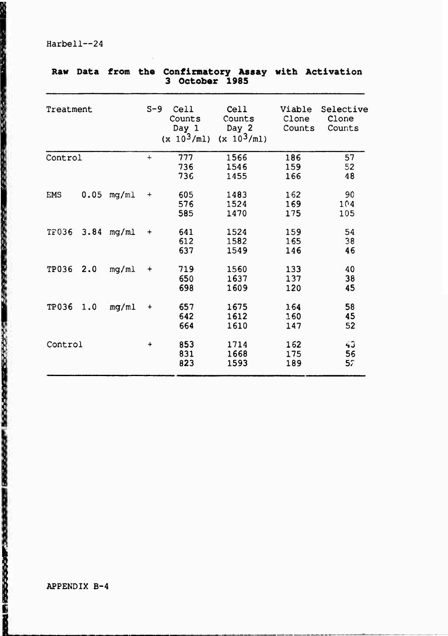**Raw Data from the Confirmatory Assay with Activation 3 October 1985** Treatment S-9 Cell Cell Viable Selective<br>Counts Counts Clone Clone **i** Counts Counts Clone Clone **1** Day 1 Day 2 Counts Counts Day 1<br>(x  $10^3$ /ml) /ml) (x 10<sup>3</sup>/ml) 1 Control + 777 1566 186 57 **i** 736 1546 159 <sup>52</sup> **<sup>1</sup>** <sup>736</sup> <sup>1455</sup> <sup>166</sup> <sup>48</sup> EMS 0.05 mg/ml + 605 1483 162 90<br>576 1524 169 104 | 585 1470 175 105 | TF036 3. 84 mg/ml + 641 1524 159 54 **1 1582** 1582 **165** 38 **i** 637 1549 146 46 | TP036 2 <sup>0</sup> mg/ml + 719 1560 133 40 **i** 650 1637 137 38 **1** 698 1609 120 45 19036 1.0 mg/ml + 657 1675 164 58<br>642 1612 160 45 **I** 642 1612 160 45 **|!** <sup>664</sup> <sup>1610</sup> <sup>147</sup> <sup>52</sup> ;:- Control + 853 1714 162 *HJ* V **831** 1668 175 56 **823** 1593 **189** 5r

Harbell~24

**I**

**1**

**\***

**L**